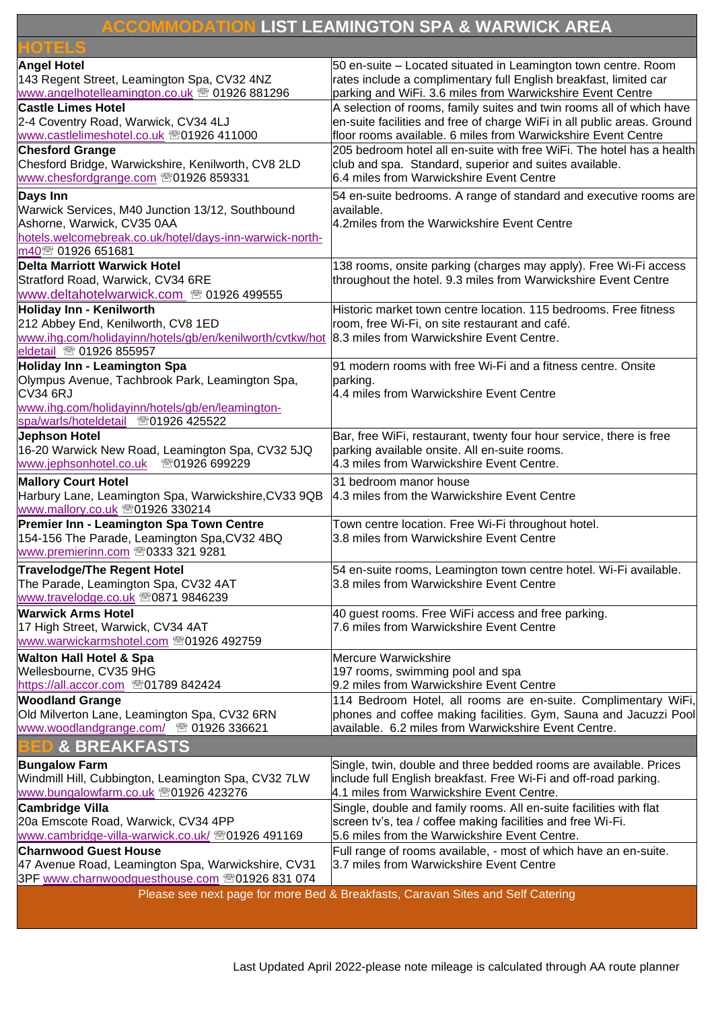## **ACCOMMODATION LIST LEAMINGTON SPA & WARWICK AREA**

| OTELS                                                    |                                                                                                               |
|----------------------------------------------------------|---------------------------------------------------------------------------------------------------------------|
| <b>Angel Hotel</b>                                       | 50 en-suite – Located situated in Leamington town centre. Room                                                |
| 143 Regent Street, Leamington Spa, CV32 4NZ              | rates include a complimentary full English breakfast, limited car                                             |
| www.angelhotelleamington.co.uk <sup>®</sup> 01926 881296 | parking and WiFi. 3.6 miles from Warwickshire Event Centre                                                    |
| <b>Castle Limes Hotel</b>                                | A selection of rooms, family suites and twin rooms all of which have                                          |
| 2-4 Coventry Road, Warwick, CV34 4LJ                     | en-suite facilities and free of charge WiFi in all public areas. Ground                                       |
| www.castlelimeshotel.co.uk 201926 411000                 | floor rooms available. 6 miles from Warwickshire Event Centre                                                 |
| <b>Chesford Grange</b>                                   | 205 bedroom hotel all en-suite with free WiFi. The hotel has a health                                         |
| Chesford Bridge, Warwickshire, Kenilworth, CV8 2LD       | club and spa. Standard, superior and suites available.                                                        |
| www.chesfordgrange.com 201926 859331                     | 6.4 miles from Warwickshire Event Centre                                                                      |
| Days Inn                                                 | 54 en-suite bedrooms. A range of standard and executive rooms are                                             |
| Warwick Services, M40 Junction 13/12, Southbound         | available.                                                                                                    |
| Ashorne, Warwick, CV35 0AA                               | 4.2miles from the Warwickshire Event Centre                                                                   |
| hotels.welcomebreak.co.uk/hotel/days-inn-warwick-north-  |                                                                                                               |
| m40 <sup>®</sup> 01926 651681                            |                                                                                                               |
| Delta Marriott Warwick Hotel                             | 138 rooms, onsite parking (charges may apply). Free Wi-Fi access                                              |
| Stratford Road, Warwick, CV34 6RE                        | throughout the hotel. 9.3 miles from Warwickshire Event Centre                                                |
| www.deltahotelwarwick.com <sup>®</sup> 01926 499555      |                                                                                                               |
| Holiday Inn - Kenilworth                                 | Historic market town centre location. 115 bedrooms. Free fitness                                              |
| 212 Abbey End, Kenilworth, CV8 1ED                       | room, free Wi-Fi, on site restaurant and café.                                                                |
| www.ihg.com/holidayinn/hotels/gb/en/kenilworth/cvtkw/hot | 8.3 miles from Warwickshire Event Centre.                                                                     |
| eldetail <sup>®</sup> 01926 855957                       |                                                                                                               |
| Holiday Inn - Leamington Spa                             | 91 modern rooms with free Wi-Fi and a fitness centre. Onsite                                                  |
| Olympus Avenue, Tachbrook Park, Leamington Spa,          | parking.                                                                                                      |
| <b>CV34 6RJ</b>                                          | 4.4 miles from Warwickshire Event Centre                                                                      |
| www.ihg.com/holidayinn/hotels/gb/en/leamington-          |                                                                                                               |
| spa/warls/hoteldetail<br>☎01926 425522                   |                                                                                                               |
| Jephson Hotel                                            | Bar, free WiFi, restaurant, twenty four hour service, there is free                                           |
| 16-20 Warwick New Road, Leamington Spa, CV32 5JQ         | parking available onsite. All en-suite rooms.                                                                 |
| www.jephsonhotel.co.uk<br>ි01926 699229                  | 4.3 miles from Warwickshire Event Centre.                                                                     |
| <b>Mallory Court Hotel</b>                               | 31 bedroom manor house                                                                                        |
| Harbury Lane, Leamington Spa, Warwickshire, CV33 9QB     | 4.3 miles from the Warwickshire Event Centre                                                                  |
| www.mallory.co.uk 201926 330214                          |                                                                                                               |
| Premier Inn - Leamington Spa Town Centre                 | Town centre location. Free Wi-Fi throughout hotel.                                                            |
| 154-156 The Parade, Leamington Spa, CV32 4BQ             | 3.8 miles from Warwickshire Event Centre                                                                      |
| www.premierinn.com 20333 321 9281                        |                                                                                                               |
| <b>Travelodge/The Regent Hotel</b>                       | 54 en-suite rooms, Leamington town centre hotel. Wi-Fi available.                                             |
| The Parade, Leamington Spa, CV32 4AT                     | 3.8 miles from Warwickshire Event Centre                                                                      |
| www.travelodge.co.uk 20871 9846239                       |                                                                                                               |
| <b>Warwick Arms Hotel</b>                                | 40 guest rooms. Free WiFi access and free parking.                                                            |
| 17 High Street, Warwick, CV34 4AT                        | 7.6 miles from Warwickshire Event Centre                                                                      |
| www.warwickarmshotel.com 201926 492759                   |                                                                                                               |
| <b>Walton Hall Hotel &amp; Spa</b>                       | Mercure Warwickshire                                                                                          |
| Wellesbourne, CV35 9HG                                   | 197 rooms, swimming pool and spa                                                                              |
| https://all.accor.com 201789 842424                      | 9.2 miles from Warwickshire Event Centre                                                                      |
| <b>Woodland Grange</b>                                   | 114 Bedroom Hotel, all rooms are en-suite. Complimentary WiFi,                                                |
| Old Milverton Lane, Leamington Spa, CV32 6RN             | phones and coffee making facilities. Gym, Sauna and Jacuzzi Pool                                              |
| www.woodlandgrange.com/ 2 01926 336621                   | available. 6.2 miles from Warwickshire Event Centre.                                                          |
| <b>&amp; BREAKFASTS</b>                                  |                                                                                                               |
|                                                          |                                                                                                               |
| <b>Bungalow Farm</b>                                     | Single, twin, double and three bedded rooms are available. Prices                                             |
| Windmill Hill, Cubbington, Leamington Spa, CV32 7LW      | include full English breakfast. Free Wi-Fi and off-road parking.<br>4.1 miles from Warwickshire Event Centre. |
| www.bungalowfarm.co.uk 201926 423276                     |                                                                                                               |
| <b>Cambridge Villa</b>                                   | Single, double and family rooms. All en-suite facilities with flat                                            |
| 20a Emscote Road, Warwick, CV34 4PP                      | screen tv's, tea / coffee making facilities and free Wi-Fi.                                                   |
| www.cambridge-villa-warwick.co.uk/ 201926 491169         | 5.6 miles from the Warwickshire Event Centre.                                                                 |
| <b>Charnwood Guest House</b>                             | Full range of rooms available, - most of which have an en-suite.                                              |
| 47 Avenue Road, Leamington Spa, Warwickshire, CV31       | 3.7 miles from Warwickshire Event Centre                                                                      |
| 3PF www.charnwoodguesthouse.com 201926 831 074           |                                                                                                               |
|                                                          | Please see next page for more Bed & Breakfasts, Caravan Sites and Self Catering                               |
|                                                          |                                                                                                               |